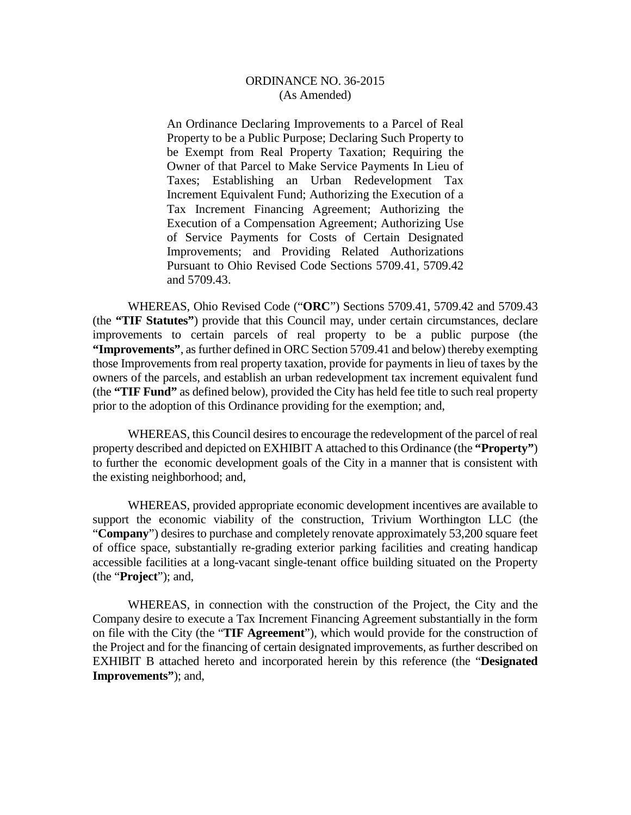An Ordinance Declaring Improvements to a Parcel of Real Property to be a Public Purpose; Declaring Such Property to be Exempt from Real Property Taxation; Requiring the Owner of that Parcel to Make Service Payments In Lieu of Taxes; Establishing an Urban Redevelopment Tax Increment Equivalent Fund; Authorizing the Execution of a Tax Increment Financing Agreement; Authorizing the Execution of a Compensation Agreement; Authorizing Use of Service Payments for Costs of Certain Designated Improvements; and Providing Related Authorizations Pursuant to Ohio Revised Code Sections 5709.41, 5709.42 and 5709.43.

WHEREAS, Ohio Revised Code ("**ORC**") Sections 5709.41, 5709.42 and 5709.43 (the **"TIF Statutes"**) provide that this Council may, under certain circumstances, declare improvements to certain parcels of real property to be a public purpose (the **"Improvements"**, as further defined in ORC Section 5709.41 and below) thereby exempting those Improvements from real property taxation, provide for payments in lieu of taxes by the owners of the parcels, and establish an urban redevelopment tax increment equivalent fund (the **"TIF Fund"** as defined below), provided the City has held fee title to such real property prior to the adoption of this Ordinance providing for the exemption; and,

WHEREAS, this Council desires to encourage the redevelopment of the parcel of real property described and depicted on EXHIBIT A attached to this Ordinance (the **"Property"**) to further the economic development goals of the City in a manner that is consistent with the existing neighborhood; and,

WHEREAS, provided appropriate economic development incentives are available to support the economic viability of the construction, Trivium Worthington LLC (the "**Company**") desires to purchase and completely renovate approximately 53,200 square feet of office space, substantially re-grading exterior parking facilities and creating handicap accessible facilities at a long-vacant single-tenant office building situated on the Property (the "**Project**"); and,

WHEREAS, in connection with the construction of the Project, the City and the Company desire to execute a Tax Increment Financing Agreement substantially in the form on file with the City (the "**TIF Agreement**"), which would provide for the construction of the Project and for the financing of certain designated improvements, as further described on EXHIBIT B attached hereto and incorporated herein by this reference (the "**Designated Improvements"**); and,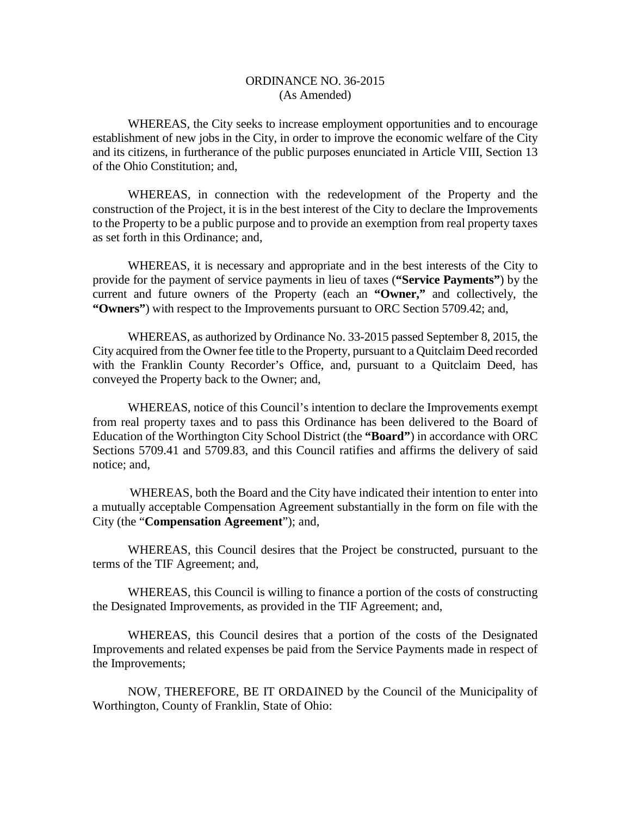WHEREAS, the City seeks to increase employment opportunities and to encourage establishment of new jobs in the City, in order to improve the economic welfare of the City and its citizens, in furtherance of the public purposes enunciated in Article VIII, Section 13 of the Ohio Constitution; and,

WHEREAS, in connection with the redevelopment of the Property and the construction of the Project, it is in the best interest of the City to declare the Improvements to the Property to be a public purpose and to provide an exemption from real property taxes as set forth in this Ordinance; and,

WHEREAS, it is necessary and appropriate and in the best interests of the City to provide for the payment of service payments in lieu of taxes (**"Service Payments"**) by the current and future owners of the Property (each an **"Owner,"** and collectively, the **"Owners"**) with respect to the Improvements pursuant to ORC Section 5709.42; and,

WHEREAS, as authorized by Ordinance No. 33-2015 passed September 8, 2015, the City acquired from the Owner fee title to the Property, pursuant to a Quitclaim Deed recorded with the Franklin County Recorder's Office, and, pursuant to a Quitclaim Deed, has conveyed the Property back to the Owner; and,

WHEREAS, notice of this Council's intention to declare the Improvements exempt from real property taxes and to pass this Ordinance has been delivered to the Board of Education of the Worthington City School District (the **"Board"**) in accordance with ORC Sections 5709.41 and 5709.83, and this Council ratifies and affirms the delivery of said notice; and,

WHEREAS, both the Board and the City have indicated their intention to enter into a mutually acceptable Compensation Agreement substantially in the form on file with the City (the "**Compensation Agreement**"); and,

WHEREAS, this Council desires that the Project be constructed, pursuant to the terms of the TIF Agreement; and,

WHEREAS, this Council is willing to finance a portion of the costs of constructing the Designated Improvements, as provided in the TIF Agreement; and,

WHEREAS, this Council desires that a portion of the costs of the Designated Improvements and related expenses be paid from the Service Payments made in respect of the Improvements;

NOW, THEREFORE, BE IT ORDAINED by the Council of the Municipality of Worthington, County of Franklin, State of Ohio: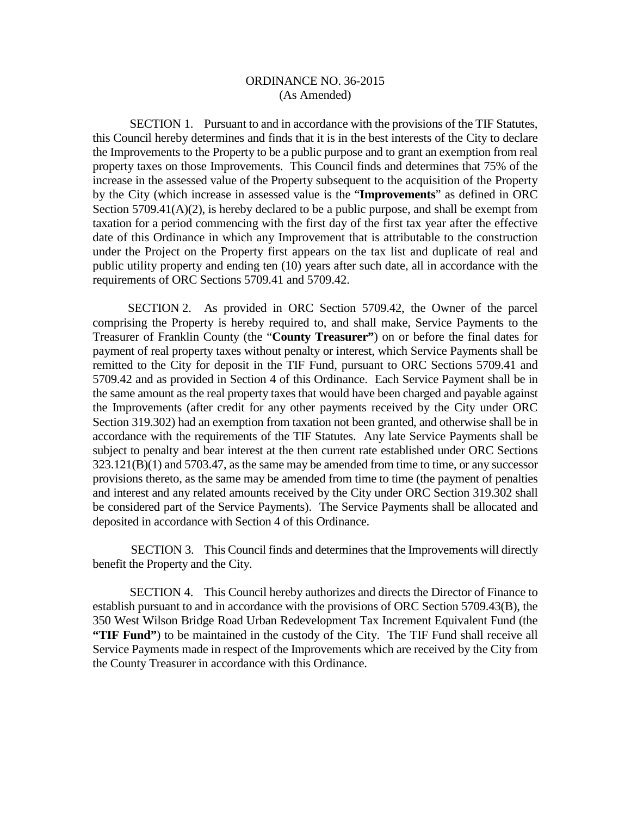SECTION 1. Pursuant to and in accordance with the provisions of the TIF Statutes, this Council hereby determines and finds that it is in the best interests of the City to declare the Improvements to the Property to be a public purpose and to grant an exemption from real property taxes on those Improvements. This Council finds and determines that 75% of the increase in the assessed value of the Property subsequent to the acquisition of the Property by the City (which increase in assessed value is the "**Improvements**" as defined in ORC Section 5709.41(A)(2), is hereby declared to be a public purpose, and shall be exempt from taxation for a period commencing with the first day of the first tax year after the effective date of this Ordinance in which any Improvement that is attributable to the construction under the Project on the Property first appears on the tax list and duplicate of real and public utility property and ending ten (10) years after such date, all in accordance with the requirements of ORC Sections 5709.41 and 5709.42.

SECTION 2. As provided in ORC Section 5709.42, the Owner of the parcel comprising the Property is hereby required to, and shall make, Service Payments to the Treasurer of Franklin County (the "**County Treasurer"**) on or before the final dates for payment of real property taxes without penalty or interest, which Service Payments shall be remitted to the City for deposit in the TIF Fund, pursuant to ORC Sections 5709.41 and 5709.42 and as provided in Section 4 of this Ordinance. Each Service Payment shall be in the same amount as the real property taxes that would have been charged and payable against the Improvements (after credit for any other payments received by the City under ORC Section 319.302) had an exemption from taxation not been granted, and otherwise shall be in accordance with the requirements of the TIF Statutes. Any late Service Payments shall be subject to penalty and bear interest at the then current rate established under ORC Sections  $323.121(B)(1)$  and  $5703.47$ , as the same may be amended from time to time, or any successor provisions thereto, as the same may be amended from time to time (the payment of penalties and interest and any related amounts received by the City under ORC Section 319.302 shall be considered part of the Service Payments). The Service Payments shall be allocated and deposited in accordance with Section 4 of this Ordinance.

SECTION 3. This Council finds and determines that the Improvements will directly benefit the Property and the City.

SECTION 4. This Council hereby authorizes and directs the Director of Finance to establish pursuant to and in accordance with the provisions of ORC Section 5709.43(B), the 350 West Wilson Bridge Road Urban Redevelopment Tax Increment Equivalent Fund (the **"TIF Fund"**) to be maintained in the custody of the City. The TIF Fund shall receive all Service Payments made in respect of the Improvements which are received by the City from the County Treasurer in accordance with this Ordinance.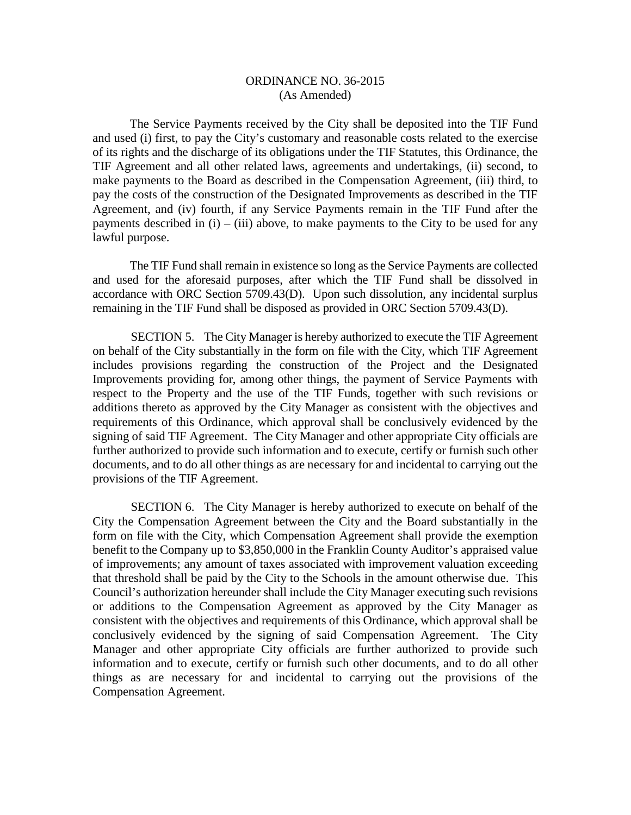The Service Payments received by the City shall be deposited into the TIF Fund and used (i) first, to pay the City's customary and reasonable costs related to the exercise of its rights and the discharge of its obligations under the TIF Statutes, this Ordinance, the TIF Agreement and all other related laws, agreements and undertakings, (ii) second, to make payments to the Board as described in the Compensation Agreement, (iii) third, to pay the costs of the construction of the Designated Improvements as described in the TIF Agreement, and (iv) fourth, if any Service Payments remain in the TIF Fund after the payments described in (i) – (iii) above, to make payments to the City to be used for any lawful purpose.

The TIF Fund shall remain in existence so long as the Service Payments are collected and used for the aforesaid purposes, after which the TIF Fund shall be dissolved in accordance with ORC Section 5709.43(D). Upon such dissolution, any incidental surplus remaining in the TIF Fund shall be disposed as provided in ORC Section 5709.43(D).

SECTION 5. The City Manager is hereby authorized to execute the TIF Agreement on behalf of the City substantially in the form on file with the City, which TIF Agreement includes provisions regarding the construction of the Project and the Designated Improvements providing for, among other things, the payment of Service Payments with respect to the Property and the use of the TIF Funds, together with such revisions or additions thereto as approved by the City Manager as consistent with the objectives and requirements of this Ordinance, which approval shall be conclusively evidenced by the signing of said TIF Agreement. The City Manager and other appropriate City officials are further authorized to provide such information and to execute, certify or furnish such other documents, and to do all other things as are necessary for and incidental to carrying out the provisions of the TIF Agreement.

SECTION 6. The City Manager is hereby authorized to execute on behalf of the City the Compensation Agreement between the City and the Board substantially in the form on file with the City, which Compensation Agreement shall provide the exemption benefit to the Company up to \$3,850,000 in the Franklin County Auditor's appraised value of improvements; any amount of taxes associated with improvement valuation exceeding that threshold shall be paid by the City to the Schools in the amount otherwise due. This Council's authorization hereunder shall include the City Manager executing such revisions or additions to the Compensation Agreement as approved by the City Manager as consistent with the objectives and requirements of this Ordinance, which approval shall be conclusively evidenced by the signing of said Compensation Agreement. The City Manager and other appropriate City officials are further authorized to provide such information and to execute, certify or furnish such other documents, and to do all other things as are necessary for and incidental to carrying out the provisions of the Compensation Agreement.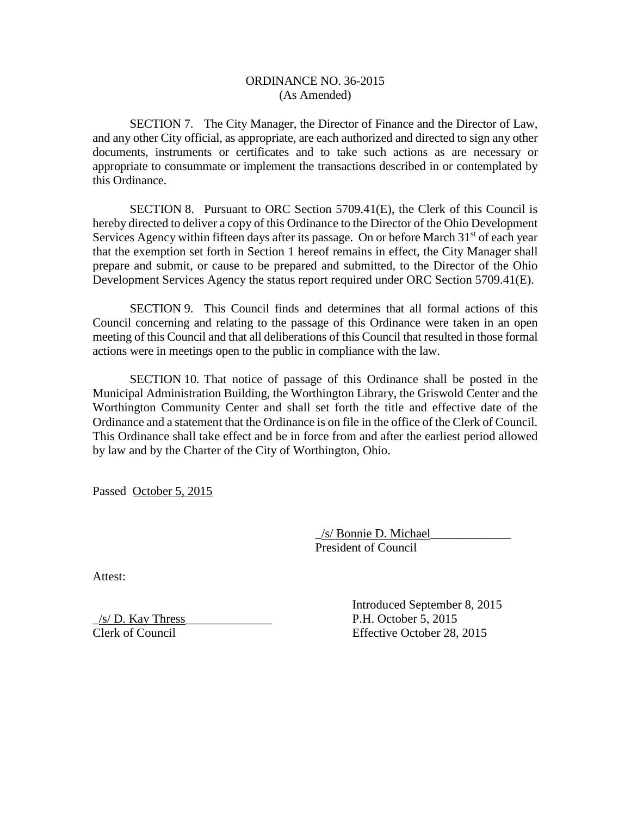SECTION 7. The City Manager, the Director of Finance and the Director of Law, and any other City official, as appropriate, are each authorized and directed to sign any other documents, instruments or certificates and to take such actions as are necessary or appropriate to consummate or implement the transactions described in or contemplated by this Ordinance.

SECTION 8. Pursuant to ORC Section 5709.41(E), the Clerk of this Council is hereby directed to deliver a copy of this Ordinance to the Director of the Ohio Development Services Agency within fifteen days after its passage. On or before March  $31<sup>st</sup>$  of each year that the exemption set forth in Section 1 hereof remains in effect, the City Manager shall prepare and submit, or cause to be prepared and submitted, to the Director of the Ohio Development Services Agency the status report required under ORC Section 5709.41(E).

SECTION 9. This Council finds and determines that all formal actions of this Council concerning and relating to the passage of this Ordinance were taken in an open meeting of this Council and that all deliberations of this Council that resulted in those formal actions were in meetings open to the public in compliance with the law.

SECTION 10. That notice of passage of this Ordinance shall be posted in the Municipal Administration Building, the Worthington Library, the Griswold Center and the Worthington Community Center and shall set forth the title and effective date of the Ordinance and a statement that the Ordinance is on file in the office of the Clerk of Council. This Ordinance shall take effect and be in force from and after the earliest period allowed by law and by the Charter of the City of Worthington, Ohio.

Passed October 5, 2015

\_/s/ Bonnie D. Michael\_\_\_\_\_\_\_\_\_\_\_\_\_ President of Council

Attest:

\_/s/ D. Kay Thress\_\_\_\_\_\_\_\_\_\_\_\_\_\_ P.H. October 5, 2015 Clerk of Council Effective October 28, 2015

Introduced September 8, 2015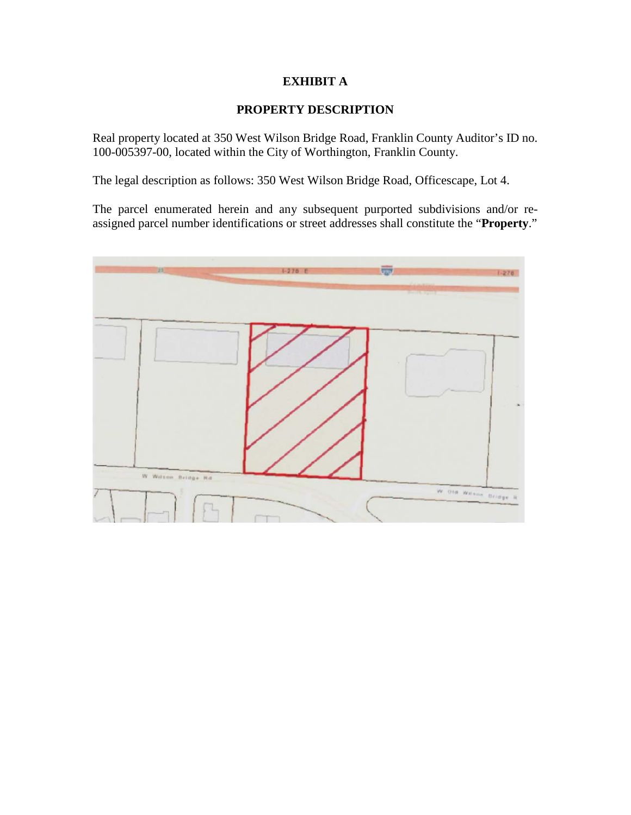# **EXHIBIT A**

# **PROPERTY DESCRIPTION**

Real property located at 350 West Wilson Bridge Road, Franklin County Auditor's ID no. 100-005397-00, located within the City of Worthington, Franklin County.

The legal description as follows: 350 West Wilson Bridge Road, Officescape, Lot 4.

The parcel enumerated herein and any subsequent purported subdivisions and/or reassigned parcel number identifications or street addresses shall constitute the "**Property**."